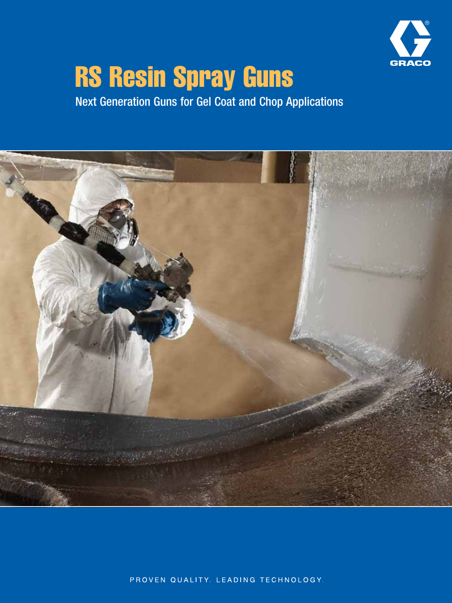

# RS Resin Spray Guns

Next Generation Guns for Gel Coat and Chop Applications



PROVEN QUALITY. LEADING TECHNOLOGY.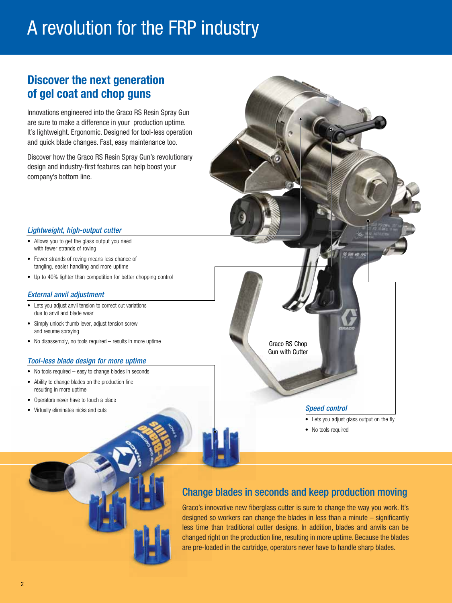## A revolution for the FRP industry

## Discover the next generation of gel coat and chop guns

Innovations engineered into the Graco RS Resin Spray Gun are sure to make a difference in your production uptime. It's lightweight. Ergonomic. Designed for tool-less operation and quick blade changes. Fast, easy maintenance too.

Discover how the Graco RS Resin Spray Gun's revolutionary design and industry-first features can help boost your company's bottom line.

#### *Lightweight, high-output cutter*

- Allows you to get the glass output you need with fewer strands of roving
- Fewer strands of roving means less chance of tangling, easier handling and more uptime
- Up to 40% lighter than competition for better chopping control

#### *External anvil adjustment*

- Lets you adjust anvil tension to correct cut variations due to anvil and blade wear
- Simply unlock thumb lever, adjust tension screw and resume spraying
- No disassembly, no tools required results in more uptime

#### *Tool-less blade design for more uptime*

- No tools required easy to change blades in seconds
- Ability to change blades on the production line resulting in more uptime
- Operators never have to touch a blade
- Virtually eliminates nicks and cuts

Graco RS Chop Gun with Cutter

#### *Speed control*

- Lets you adjust glass output on the fly
- No tools required

### Change blades in seconds and keep production moving

Graco's innovative new fiberglass cutter is sure to change the way you work. It's designed so workers can change the blades in less than a minute – significantly less time than traditional cutter designs. In addition, blades and anvils can be changed right on the production line, resulting in more uptime. Because the blades are pre-loaded in the cartridge, operators never have to handle sharp blades.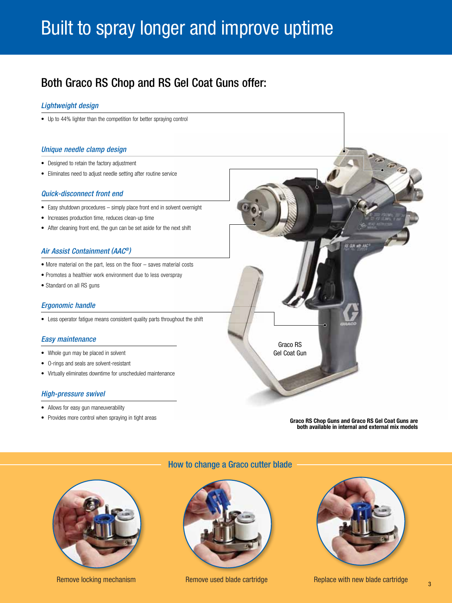## Built to spray longer and improve uptime

## Both Graco RS Chop and RS Gel Coat Guns offer:

#### *Lightweight design*

• Up to 44% lighter than the competition for better spraying control

#### *Unique needle clamp design*

- Designed to retain the factory adjustment
- Eliminates need to adjust needle setting after routine service

#### *Quick-disconnect front end*

- Easy shutdown procedures simply place front end in solvent overnight
- Increases production time, reduces clean-up time
- After cleaning front end, the gun can be set aside for the next shift

#### *Air Assist Containment (AAC®)*

- More material on the part, less on the floor saves material costs
- Promotes a healthier work environment due to less overspray
- Standard on all RS guns

#### *Ergonomic handle*

• Less operator fatigue means consistent quality parts throughout the shift

#### *Easy maintenance*

- Whole gun may be placed in solvent
- O-rings and seals are solvent-resistant
- Virtually eliminates downtime for unscheduled maintenance

#### *High-pressure swivel*

- Allows for easy gun maneuverability
- Provides more control when spraying in tight areas



Graco RS Chop Guns and Graco RS Gel Coat Guns are both available in internal and external mix models



#### How to change a Graco cutter blade



Remove locking mechanism Remove used blade cartridge

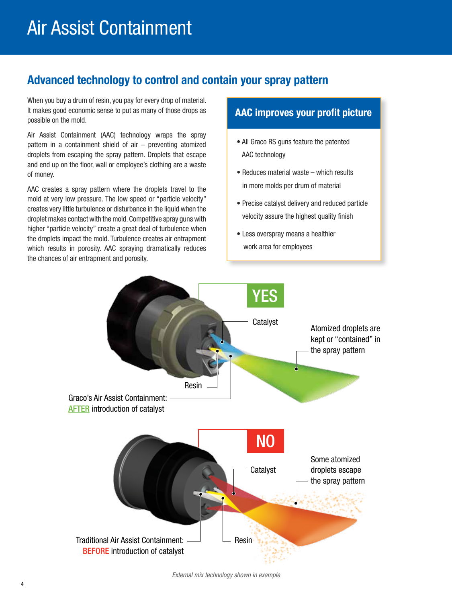## Advanced technology to control and contain your spray pattern

When you buy a drum of resin, you pay for every drop of material. It makes good economic sense to put as many of those drops as possible on the mold.

Air Assist Containment (AAC) technology wraps the spray pattern in a containment shield of air – preventing atomized droplets from escaping the spray pattern. Droplets that escape and end up on the floor, wall or employee's clothing are a waste of money.

AAC creates a spray pattern where the droplets travel to the mold at very low pressure. The low speed or "particle velocity" creates very little turbulence or disturbance in the liquid when the droplet makes contact with the mold. Competitive spray guns with higher "particle velocity" create a great deal of turbulence when the droplets impact the mold. Turbulence creates air entrapment which results in porosity. AAC spraying dramatically reduces the chances of air entrapment and porosity.

### AAC improves your profit picture

- All Graco RS guns feature the patented AAC technology
- Reduces material waste which results in more molds per drum of material
- Precise catalyst delivery and reduced particle velocity assure the highest quality finish
- Less overspray means a healthier work area for employees

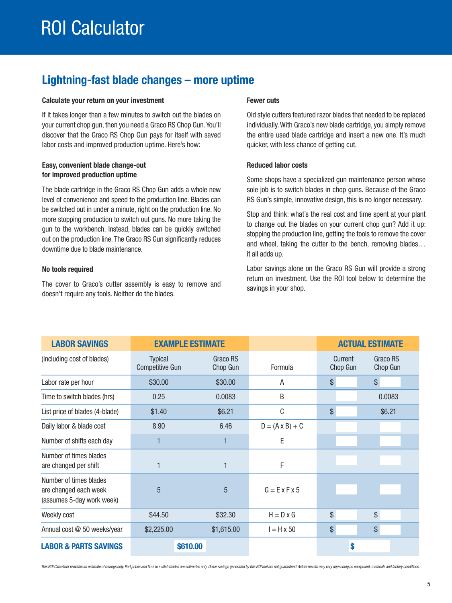## Lightning-fast blade changes – more uptime

#### Calculate your return on your investment

If it takes longer than a few minutes to switch out the blades on your current chop gun, then you need a Graco RS Chop Gun. You'll discover that the Graco RS Chop Gun pays for itself with saved labor costs and improved production uptime. Here's how:

#### Easy, convenient blade change-out for improved production uptime

The blade cartridge in the Graco RS Chop Gun adds a whole new level of convenience and speed to the production line. Blades can be switched out in under a minute, right on the production line. No more stopping production to switch out guns. No more taking the gun to the workbench. Instead, blades can be quickly switched out on the production line. The Graco RS Gun significantly reduces downtime due to blade maintenance.

#### No tools required

The cover to Graco's cutter assembly is easy to remove and doesn't require any tools. Neither do the blades.

#### Fewer cuts

Old style cutters featured razor blades that needed to be replaced individually. With Graco's new blade cartridge, you simply remove the entire used blade cartridge and insert a new one. It's much quicker, with less chance of getting cut.

#### Reduced labor costs

Some shops have a specialized gun maintenance person whose sole job is to switch blades in chop guns. Because of the Graco RS Gun's simple, innovative design, this is no longer necessary.

Stop and think: what's the real cost and time spent at your plant to change out the blades on your current chop gun? Add it up: stopping the production line, getting the tools to remove the cover and wheel, taking the cutter to the bench, removing blades… it all adds up.

Labor savings alone on the Graco RS Gun will provide a strong return on investment. Use the ROI tool below to determine the savings in your shop.

| <b>LABOR SAVINGS</b>                                                         |                                   | <b>EXAMPLE ESTIMATE</b> |                           |                     | <b>ACTUAL ESTIMATE</b> |
|------------------------------------------------------------------------------|-----------------------------------|-------------------------|---------------------------|---------------------|------------------------|
| (including cost of blades)                                                   | <b>Typical</b><br>Competitive Gun | Graco RS<br>Chop Gun    | Formula                   | Current<br>Chop Gun | Graco RS<br>Chop Gun   |
| Labor rate per hour                                                          | \$30.00                           | \$30.00                 | Α                         | $\mathcal{S}$       | $\mathsf{\$}$          |
| Time to switch blades (hrs)                                                  | 0.25                              | 0.0083                  | B                         |                     | 0.0083                 |
| List price of blades (4-blade)                                               | \$1.40                            | \$6.21                  | C                         | \$                  | \$6.21                 |
| Daily labor & blade cost                                                     | 8.90                              | 6.46                    | $D = (A \times B) + C$    |                     |                        |
| Number of shifts each day                                                    |                                   | 1                       | E                         |                     |                        |
| Number of times blades<br>are changed per shift                              |                                   | 1                       | F                         |                     |                        |
| Number of times blades<br>are changed each week<br>(assumes 5-day work week) | 5                                 | 5                       | $G = E \times F \times 5$ |                     |                        |
| Weekly cost                                                                  | \$44.50                           | \$32.30                 | $H = D \times G$          | $\mathcal{S}$       | $\$\$                  |
| Annual cost @ 50 weeks/year                                                  | \$2,225.00                        | \$1,615.00              | $I = H \times 50$         | \$                  | $$\mathbb{S}$$         |
| <b>LABOR &amp; PARTS SAVINGS</b>                                             |                                   | \$610.00                |                           |                     | \$                     |

This ROI Calculator provides an estimate of savings only. Part prices and time to switch blades are estimates only. Dollar savings generated by this ROI tool are not guaranteed. Actual results may vary depending on equipme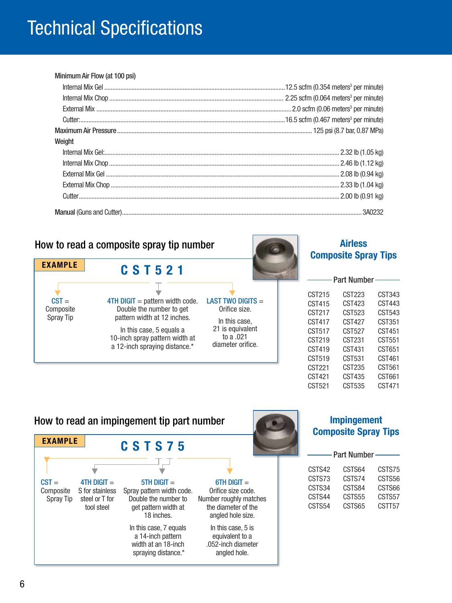## Technical Specifications

| Minimum Air Flow (at 100 psi) |  |
|-------------------------------|--|
|                               |  |
|                               |  |
|                               |  |
|                               |  |
|                               |  |
| Weight                        |  |
|                               |  |
|                               |  |
|                               |  |
|                               |  |
|                               |  |
|                               |  |

### How to read a composite spray tip number



### Airless Composite Spray Tips

| – Part Number – |               |        |  |  |  |
|-----------------|---------------|--------|--|--|--|
|                 |               |        |  |  |  |
| CST215          | CST223        | CST343 |  |  |  |
| CST415          | CST423        | CST443 |  |  |  |
| CST217          | CST523        | CST543 |  |  |  |
| CST417          | CST427        | CST351 |  |  |  |
| CST517          | <b>CST527</b> | CST451 |  |  |  |
| CST219          | CST231        | CST551 |  |  |  |
| CST419          | CST431        | CST651 |  |  |  |
| CST519          | CST531        | CST461 |  |  |  |
| CST221          | CST235        | CST561 |  |  |  |
| CST421          | CST435        | CST661 |  |  |  |
| CST521          | CST535        | CST471 |  |  |  |

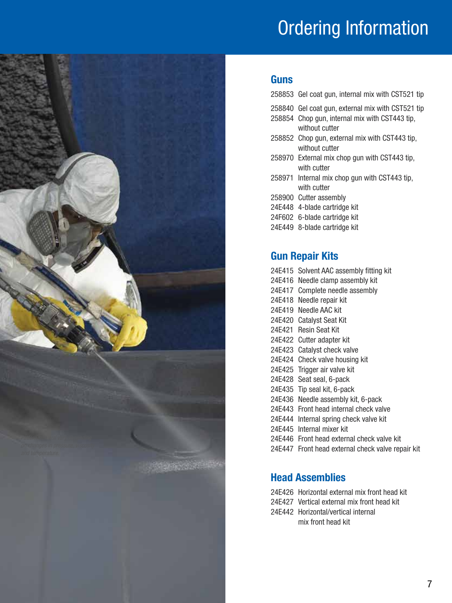## Ordering Information



## **Guns**

|  | 258853 Gel coat gun, internal mix with CST521 tip |
|--|---------------------------------------------------|
|  | 258840 Gel coat gun, external mix with CST521 tip |
|  | 258854 Chop gun, internal mix with CST443 tip,    |
|  | without cutter                                    |
|  | 258852 Chop gun, external mix with CST443 tip,    |
|  | without cutter                                    |
|  | 258970 External mix chop gun with CST443 tip,     |
|  | with cutter                                       |
|  | 258971 Internal mix chop gun with CST443 tip.     |
|  | with cutter                                       |
|  | 258900 Cutter assembly                            |
|  | 24E448 4-blade cartridge kit                      |
|  | 24F602 6-blade cartridge kit                      |
|  | 24E449 8-blade cartridge kit                      |
|  |                                                   |

## Gun Repair Kits

|        | 24E415 Solvent AAC assembly fitting kit           |
|--------|---------------------------------------------------|
| 24E416 | Needle clamp assembly kit                         |
| 24E417 | Complete needle assembly                          |
| 24E418 | Needle repair kit                                 |
| 24E419 | Needle AAC kit                                    |
| 24E420 | Catalyst Seat Kit                                 |
| 24E421 | <b>Resin Seat Kit</b>                             |
|        | 24E422 Cutter adapter kit                         |
| 24E423 | Catalyst check valve                              |
| 24E424 | Check valve housing kit                           |
| 24E425 | Trigger air valve kit                             |
| 24E428 | Seat seal, 6-pack                                 |
| 24E435 | Tip seal kit, 6-pack                              |
| 24E436 | Needle assembly kit, 6-pack                       |
| 24E443 | Front head internal check valve                   |
| 24E444 | Internal spring check valve kit                   |
| 24E445 | Internal mixer kit                                |
|        | 24E446 Front head external check valve kit        |
|        | 24E447 Front head external check valve repair kit |
|        |                                                   |

## Head Assemblies

- 24E426 Horizontal external mix front head kit
- 24E427 Vertical external mix front head kit
- 24E442 Horizontal/vertical internal mix front head kit